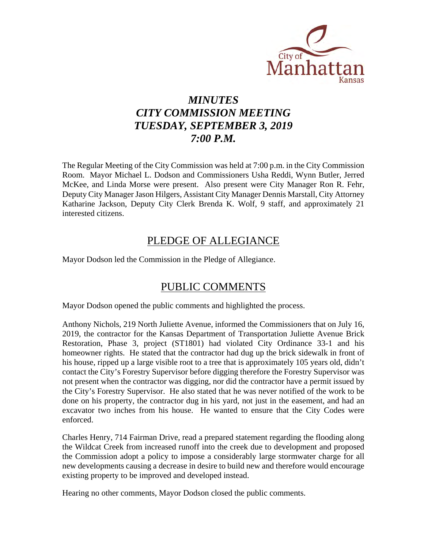

# *MINUTES CITY COMMISSION MEETING TUESDAY, SEPTEMBER 3, 2019 7:00 P.M.*

The Regular Meeting of the City Commission was held at 7:00 p.m. in the City Commission Room. Mayor Michael L. Dodson and Commissioners Usha Reddi, Wynn Butler, Jerred McKee, and Linda Morse were present. Also present were City Manager Ron R. Fehr, Deputy City Manager Jason Hilgers, Assistant City Manager Dennis Marstall, City Attorney Katharine Jackson, Deputy City Clerk Brenda K. Wolf, 9 staff, and approximately 21 interested citizens.

## PLEDGE OF ALLEGIANCE

Mayor Dodson led the Commission in the Pledge of Allegiance.

## PUBLIC COMMENTS

Mayor Dodson opened the public comments and highlighted the process.

Anthony Nichols, 219 North Juliette Avenue, informed the Commissioners that on July 16, 2019, the contractor for the Kansas Department of Transportation Juliette Avenue Brick Restoration, Phase 3, project (ST1801) had violated City Ordinance 33-1 and his homeowner rights. He stated that the contractor had dug up the brick sidewalk in front of his house, ripped up a large visible root to a tree that is approximately 105 years old, didn't contact the City's Forestry Supervisor before digging therefore the Forestry Supervisor was not present when the contractor was digging, nor did the contractor have a permit issued by the City's Forestry Supervisor. He also stated that he was never notified of the work to be done on his property, the contractor dug in his yard, not just in the easement, and had an excavator two inches from his house. He wanted to ensure that the City Codes were enforced.

Charles Henry, 714 Fairman Drive, read a prepared statement regarding the flooding along the Wildcat Creek from increased runoff into the creek due to development and proposed the Commission adopt a policy to impose a considerably large stormwater charge for all new developments causing a decrease in desire to build new and therefore would encourage existing property to be improved and developed instead.

Hearing no other comments, Mayor Dodson closed the public comments.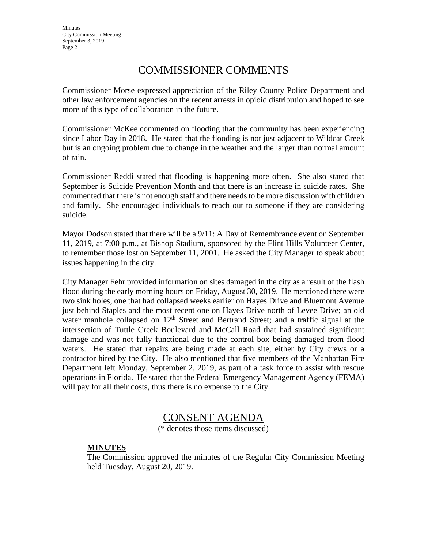**Minutes** City Commission Meeting September 3, 2019 Page 2

### COMMISSIONER COMMENTS

Commissioner Morse expressed appreciation of the Riley County Police Department and other law enforcement agencies on the recent arrests in opioid distribution and hoped to see more of this type of collaboration in the future.

Commissioner McKee commented on flooding that the community has been experiencing since Labor Day in 2018. He stated that the flooding is not just adjacent to Wildcat Creek but is an ongoing problem due to change in the weather and the larger than normal amount of rain.

Commissioner Reddi stated that flooding is happening more often. She also stated that September is Suicide Prevention Month and that there is an increase in suicide rates. She commented that there is not enough staff and there needs to be more discussion with children and family. She encouraged individuals to reach out to someone if they are considering suicide.

Mayor Dodson stated that there will be a 9/11: A Day of Remembrance event on September 11, 2019, at 7:00 p.m., at Bishop Stadium, sponsored by the Flint Hills Volunteer Center, to remember those lost on September 11, 2001. He asked the City Manager to speak about issues happening in the city.

City Manager Fehr provided information on sites damaged in the city as a result of the flash flood during the early morning hours on Friday, August 30, 2019. He mentioned there were two sink holes, one that had collapsed weeks earlier on Hayes Drive and Bluemont Avenue just behind Staples and the most recent one on Hayes Drive north of Levee Drive; an old water manhole collapsed on  $12<sup>th</sup>$  Street and Bertrand Street; and a traffic signal at the intersection of Tuttle Creek Boulevard and McCall Road that had sustained significant damage and was not fully functional due to the control box being damaged from flood waters. He stated that repairs are being made at each site, either by City crews or a contractor hired by the City. He also mentioned that five members of the Manhattan Fire Department left Monday, September 2, 2019, as part of a task force to assist with rescue operations in Florida. He stated that the Federal Emergency Management Agency (FEMA) will pay for all their costs, thus there is no expense to the City.

### CONSENT AGENDA

(\* denotes those items discussed)

#### **MINUTES**

The Commission approved the minutes of the Regular City Commission Meeting held Tuesday, August 20, 2019.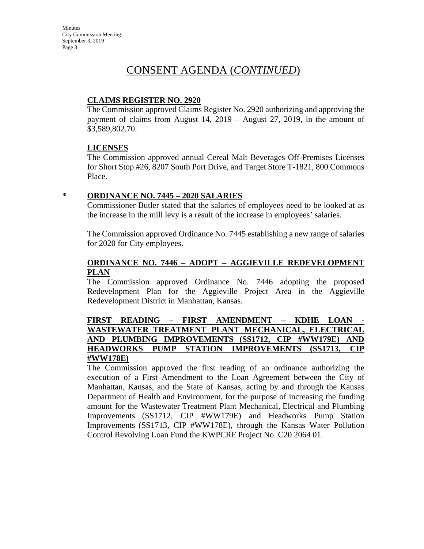**Minutes** City Commission Meeting September 3, 2019 Page 3

### CONSENT AGENDA (*CONTINUED*)

#### **CLAIMS REGISTER NO. 2920**

The Commission approved Claims Register No. 2920 authorizing and approving the payment of claims from August 14, 2019 – August 27, 2019, in the amount of \$3,589,802.70.

#### **LICENSES**

The Commission approved annual Cereal Malt Beverages Off-Premises Licenses for Short Stop #26, 8207 South Port Drive, and Target Store T-1821, 800 Commons Place.

#### **\* ORDINANCE NO. 7445 – 2020 SALARIES**

Commissioner Butler stated that the salaries of employees need to be looked at as the increase in the mill levy is a result of the increase in employees' salaries.

The Commission approved Ordinance No. 7445 establishing a new range of salaries for 2020 for City employees.

#### **ORDINANCE NO. 7446 – ADOPT – AGGIEVILLE REDEVELOPMENT PLAN**

The Commission approved Ordinance No. 7446 adopting the proposed Redevelopment Plan for the Aggieville Project Area in the Aggieville Redevelopment District in Manhattan, Kansas.

#### FIRST READING – FIRST AMENDMENT – KDHE LOAN **WASTEWATER TREATMENT PLANT MECHANICAL, ELECTRICAL AND PLUMBING IMPROVEMENTS (SS1712, CIP #WW179E) AND HEADWORKS PUMP STATION IMPROVEMENTS (SS1713, CIP #WW178E)**

The Commission approved the first reading of an ordinance authorizing the execution of a First Amendment to the Loan Agreement between the City of Manhattan, Kansas, and the State of Kansas, acting by and through the Kansas Department of Health and Environment, for the purpose of increasing the funding amount for the Wastewater Treatment Plant Mechanical, Electrical and Plumbing Improvements (SS1712, CIP #WW179E) and Headworks Pump Station Improvements (SS1713, CIP #WW178E), through the Kansas Water Pollution Control Revolving Loan Fund the KWPCRF Project No. C20 2064 01.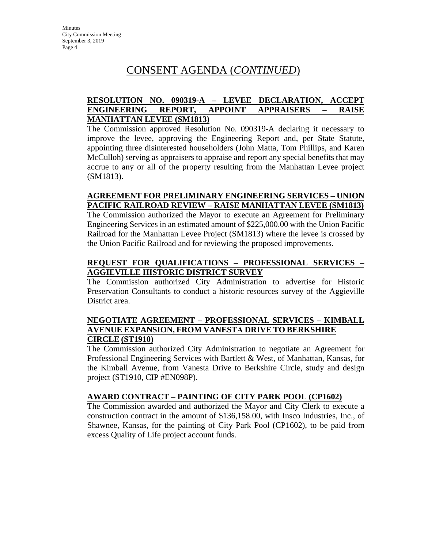## CONSENT AGENDA (*CONTINUED*)

### **RESOLUTION NO. 090319-A – LEVEE DECLARATION, ACCEPT ENGINEERING REPORT, APPOINT APPRAISERS – RAISE MANHATTAN LEVEE (SM1813)**

The Commission approved Resolution No. 090319-A declaring it necessary to improve the levee, approving the Engineering Report and, per State Statute, appointing three disinterested householders (John Matta, Tom Phillips, and Karen McCulloh) serving as appraisers to appraise and report any special benefits that may accrue to any or all of the property resulting from the Manhattan Levee project (SM1813).

#### **AGREEMENT FOR PRELIMINARY ENGINEERING SERVICES – UNION PACIFIC RAILROAD REVIEW – RAISE MANHATTAN LEVEE (SM1813)**

The Commission authorized the Mayor to execute an Agreement for Preliminary Engineering Services in an estimated amount of \$225,000.00 with the Union Pacific Railroad for the Manhattan Levee Project (SM1813) where the levee is crossed by the Union Pacific Railroad and for reviewing the proposed improvements.

#### **REQUEST FOR QUALIFICATIONS – PROFESSIONAL SERVICES – AGGIEVILLE HISTORIC DISTRICT SURVEY**

The Commission authorized City Administration to advertise for Historic Preservation Consultants to conduct a historic resources survey of the Aggieville District area.

#### **NEGOTIATE AGREEMENT – PROFESSIONAL SERVICES – KIMBALL AVENUE EXPANSION, FROM VANESTA DRIVE TO BERKSHIRE CIRCLE (ST1910)**

The Commission authorized City Administration to negotiate an Agreement for Professional Engineering Services with Bartlett & West, of Manhattan, Kansas, for the Kimball Avenue, from Vanesta Drive to Berkshire Circle, study and design project (ST1910, CIP #EN098P).

#### **AWARD CONTRACT – PAINTING OF CITY PARK POOL (CP1602)**

The Commission awarded and authorized the Mayor and City Clerk to execute a construction contract in the amount of \$136,158.00, with Insco Industries, Inc., of Shawnee, Kansas, for the painting of City Park Pool (CP1602), to be paid from excess Quality of Life project account funds.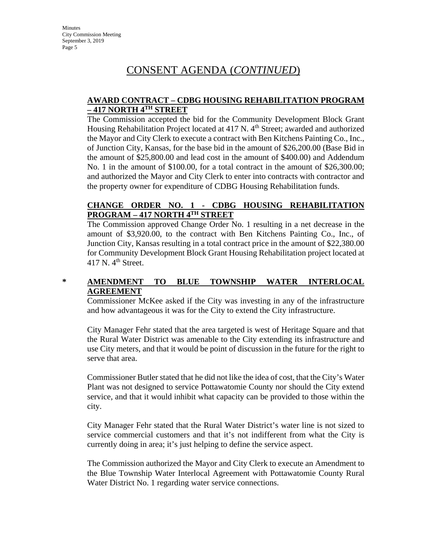## CONSENT AGENDA (*CONTINUED*)

#### **AWARD CONTRACT – CDBG HOUSING REHABILITATION PROGRAM – 417 NORTH 4TH STREET**

The Commission accepted the bid for the Community Development Block Grant Housing Rehabilitation Project located at 417 N. 4<sup>th</sup> Street; awarded and authorized the Mayor and City Clerk to execute a contract with Ben Kitchens Painting Co., Inc., of Junction City, Kansas, for the base bid in the amount of \$26,200.00 (Base Bid in the amount of \$25,800.00 and lead cost in the amount of \$400.00) and Addendum No. 1 in the amount of \$100.00, for a total contract in the amount of \$26,300.00; and authorized the Mayor and City Clerk to enter into contracts with contractor and the property owner for expenditure of CDBG Housing Rehabilitation funds.

### **CHANGE ORDER NO. 1 - CDBG HOUSING REHABILITATION PROGRAM – 417 NORTH 4TH STREET**

The Commission approved Change Order No. 1 resulting in a net decrease in the amount of \$3,920.00, to the contract with Ben Kitchens Painting Co., Inc., of Junction City, Kansas resulting in a total contract price in the amount of \$22,380.00 for Community Development Block Grant Housing Rehabilitation project located at 417 N.  $4<sup>th</sup>$  Street.

### **\* AMENDMENT TO BLUE TOWNSHIP WATER INTERLOCAL AGREEMENT**

Commissioner McKee asked if the City was investing in any of the infrastructure and how advantageous it was for the City to extend the City infrastructure.

City Manager Fehr stated that the area targeted is west of Heritage Square and that the Rural Water District was amenable to the City extending its infrastructure and use City meters, and that it would be point of discussion in the future for the right to serve that area.

Commissioner Butler stated that he did not like the idea of cost, that the City's Water Plant was not designed to service Pottawatomie County nor should the City extend service, and that it would inhibit what capacity can be provided to those within the city.

City Manager Fehr stated that the Rural Water District's water line is not sized to service commercial customers and that it's not indifferent from what the City is currently doing in area; it's just helping to define the service aspect.

The Commission authorized the Mayor and City Clerk to execute an Amendment to the Blue Township Water Interlocal Agreement with Pottawatomie County Rural Water District No. 1 regarding water service connections.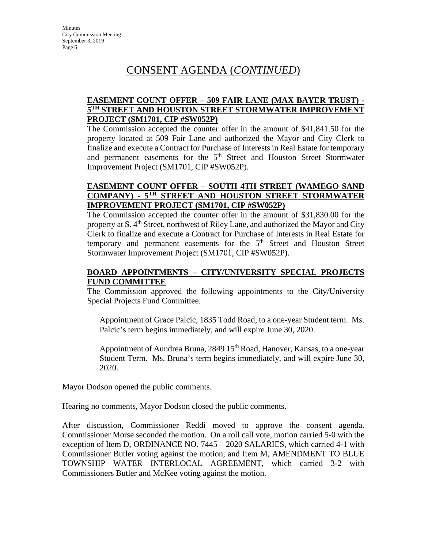## CONSENT AGENDA (*CONTINUED*)

### **EASEMENT COUNT OFFER – 509 FAIR LANE (MAX BAYER TRUST) - 5TH STREET AND HOUSTON STREET STORMWATER IMPROVEMENT PROJECT (SM1701, CIP #SW052P)**

The Commission accepted the counter offer in the amount of \$41,841.50 for the property located at 509 Fair Lane and authorized the Mayor and City Clerk to finalize and execute a Contract for Purchase of Interests in Real Estate for temporary and permanent easements for the 5<sup>th</sup> Street and Houston Street Stormwater Improvement Project (SM1701, CIP #SW052P).

#### **EASEMENT COUNT OFFER – SOUTH 4TH STREET (WAMEGO SAND COMPANY) - 5TH STREET AND HOUSTON STREET STORMWATER IMPROVEMENT PROJECT (SM1701, CIP #SW052P)**

The Commission accepted the counter offer in the amount of \$31,830.00 for the property at S. 4<sup>th</sup> Street, northwest of Riley Lane, and authorized the Mayor and City Clerk to finalize and execute a Contract for Purchase of Interests in Real Estate for temporary and permanent easements for the  $5<sup>th</sup>$  Street and Houston Street Stormwater Improvement Project (SM1701, CIP #SW052P).

#### **BOARD APPOINTMENTS – CITY/UNIVERSITY SPECIAL PROJECTS FUND COMMITTEE**

The Commission approved the following appointments to the City/University Special Projects Fund Committee.

Appointment of Grace Palcic, 1835 Todd Road, to a one-year Student term. Ms. Palcic's term begins immediately, and will expire June 30, 2020.

Appointment of Aundrea Bruna, 2849 15<sup>th</sup> Road, Hanover, Kansas, to a one-year Student Term. Ms. Bruna's term begins immediately, and will expire June 30, 2020.

Mayor Dodson opened the public comments.

Hearing no comments, Mayor Dodson closed the public comments.

After discussion, Commissioner Reddi moved to approve the consent agenda. Commissioner Morse seconded the motion. On a roll call vote, motion carried 5-0 with the exception of Item D, ORDINANCE NO. 7445 – 2020 SALARIES, which carried 4-1 with Commissioner Butler voting against the motion, and Item M, AMENDMENT TO BLUE TOWNSHIP WATER INTERLOCAL AGREEMENT, which carried 3-2 with Commissioners Butler and McKee voting against the motion.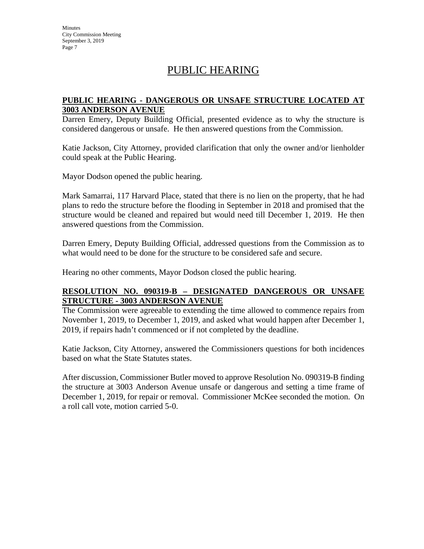## PUBLIC HEARING

#### **PUBLIC HEARING - DANGEROUS OR UNSAFE STRUCTURE LOCATED AT 3003 ANDERSON AVENUE**

Darren Emery, Deputy Building Official, presented evidence as to why the structure is considered dangerous or unsafe. He then answered questions from the Commission.

Katie Jackson, City Attorney, provided clarification that only the owner and/or lienholder could speak at the Public Hearing.

Mayor Dodson opened the public hearing.

Mark Samarrai, 117 Harvard Place, stated that there is no lien on the property, that he had plans to redo the structure before the flooding in September in 2018 and promised that the structure would be cleaned and repaired but would need till December 1, 2019. He then answered questions from the Commission.

Darren Emery, Deputy Building Official, addressed questions from the Commission as to what would need to be done for the structure to be considered safe and secure.

Hearing no other comments, Mayor Dodson closed the public hearing.

#### **RESOLUTION NO. 090319-B – DESIGNATED DANGEROUS OR UNSAFE STRUCTURE - 3003 ANDERSON AVENUE**

The Commission were agreeable to extending the time allowed to commence repairs from November 1, 2019, to December 1, 2019, and asked what would happen after December 1, 2019, if repairs hadn't commenced or if not completed by the deadline.

Katie Jackson, City Attorney, answered the Commissioners questions for both incidences based on what the State Statutes states.

After discussion, Commissioner Butler moved to approve Resolution No. 090319-B finding the structure at 3003 Anderson Avenue unsafe or dangerous and setting a time frame of December 1, 2019, for repair or removal. Commissioner McKee seconded the motion. On a roll call vote, motion carried 5-0.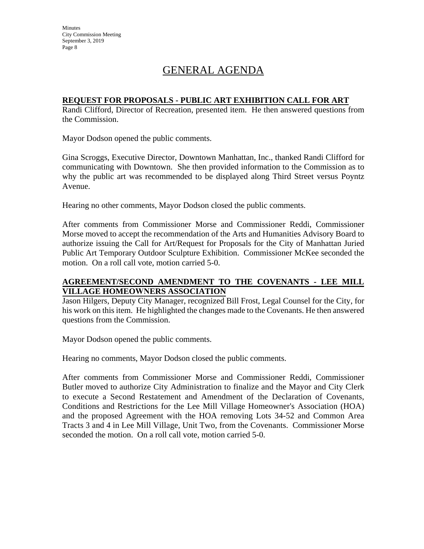**Minutes** City Commission Meeting September 3, 2019 Page 8

# GENERAL AGENDA

#### **REQUEST FOR PROPOSALS - PUBLIC ART EXHIBITION CALL FOR ART**

Randi Clifford, Director of Recreation, presented item. He then answered questions from the Commission.

Mayor Dodson opened the public comments.

Gina Scroggs, Executive Director, Downtown Manhattan, Inc., thanked Randi Clifford for communicating with Downtown. She then provided information to the Commission as to why the public art was recommended to be displayed along Third Street versus Poyntz Avenue.

Hearing no other comments, Mayor Dodson closed the public comments.

After comments from Commissioner Morse and Commissioner Reddi, Commissioner Morse moved to accept the recommendation of the Arts and Humanities Advisory Board to authorize issuing the Call for Art/Request for Proposals for the City of Manhattan Juried Public Art Temporary Outdoor Sculpture Exhibition. Commissioner McKee seconded the motion. On a roll call vote, motion carried 5-0.

#### **AGREEMENT/SECOND AMENDMENT TO THE COVENANTS - LEE MILL VILLAGE HOMEOWNERS ASSOCIATION**

Jason Hilgers, Deputy City Manager, recognized Bill Frost, Legal Counsel for the City, for his work on this item. He highlighted the changes made to the Covenants. He then answered questions from the Commission.

Mayor Dodson opened the public comments.

Hearing no comments, Mayor Dodson closed the public comments.

After comments from Commissioner Morse and Commissioner Reddi, Commissioner Butler moved to authorize City Administration to finalize and the Mayor and City Clerk to execute a Second Restatement and Amendment of the Declaration of Covenants, Conditions and Restrictions for the Lee Mill Village Homeowner's Association (HOA) and the proposed Agreement with the HOA removing Lots 34-52 and Common Area Tracts 3 and 4 in Lee Mill Village, Unit Two, from the Covenants. Commissioner Morse seconded the motion. On a roll call vote, motion carried 5-0.